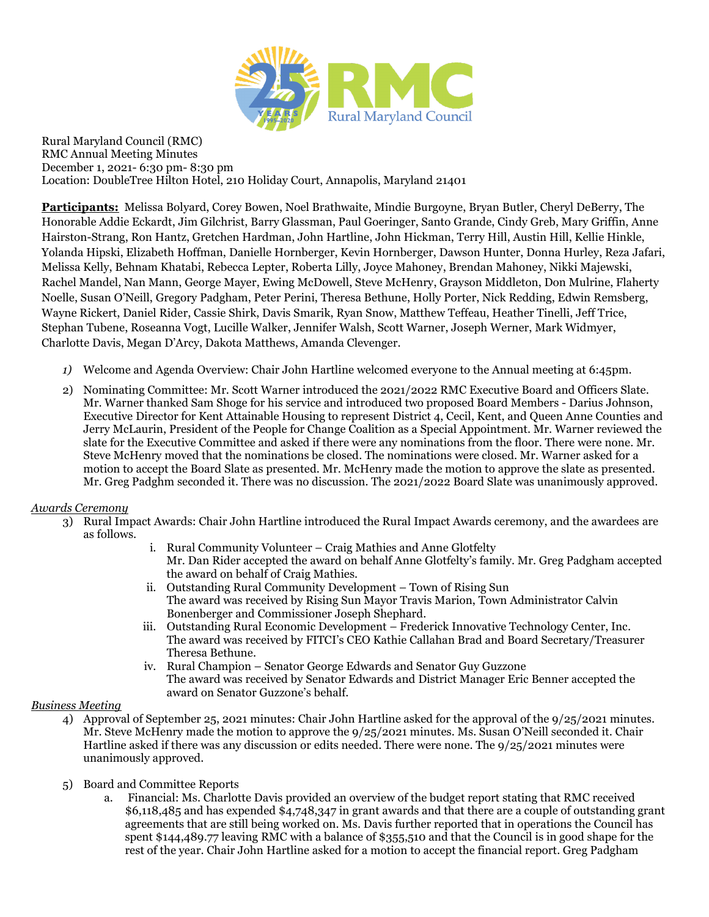

Rural Maryland Council (RMC) RMC Annual Meeting Minutes December 1, 2021- 6:30 pm- 8:30 pm Location: DoubleTree Hilton Hotel, 210 Holiday Court, Annapolis, Maryland 21401

**Participants:** Melissa Bolyard, Corey Bowen, Noel Brathwaite, Mindie Burgoyne, Bryan Butler, Cheryl DeBerry, The Honorable Addie Eckardt, Jim Gilchrist, Barry Glassman, Paul Goeringer, Santo Grande, Cindy Greb, Mary Griffin, Anne Hairston-Strang, Ron Hantz, Gretchen Hardman, John Hartline, John Hickman, Terry Hill, Austin Hill, Kellie Hinkle, Yolanda Hipski, Elizabeth Hoffman, Danielle Hornberger, Kevin Hornberger, Dawson Hunter, Donna Hurley, Reza Jafari, Melissa Kelly, Behnam Khatabi, Rebecca Lepter, Roberta Lilly, Joyce Mahoney, Brendan Mahoney, Nikki Majewski, Rachel Mandel, Nan Mann, George Mayer, Ewing McDowell, Steve McHenry, Grayson Middleton, Don Mulrine, Flaherty Noelle, Susan O'Neill, Gregory Padgham, Peter Perini, Theresa Bethune, Holly Porter, Nick Redding, Edwin Remsberg, Wayne Rickert, Daniel Rider, Cassie Shirk, Davis Smarik, Ryan Snow, Matthew Teffeau, Heather Tinelli, Jeff Trice, Stephan Tubene, Roseanna Vogt, Lucille Walker, Jennifer Walsh, Scott Warner, Joseph Werner, Mark Widmyer, Charlotte Davis, Megan D'Arcy, Dakota Matthews, Amanda Clevenger.

- *1)* Welcome and Agenda Overview: Chair John Hartline welcomed everyone to the Annual meeting at 6:45pm.
- 2) Nominating Committee: Mr. Scott Warner introduced the 2021/2022 RMC Executive Board and Officers Slate. Mr. Warner thanked Sam Shoge for his service and introduced two proposed Board Members - Darius Johnson, Executive Director for Kent Attainable Housing to represent District 4, Cecil, Kent, and Queen Anne Counties and Jerry McLaurin, President of the People for Change Coalition as a Special Appointment. Mr. Warner reviewed the slate for the Executive Committee and asked if there were any nominations from the floor. There were none. Mr. Steve McHenry moved that the nominations be closed. The nominations were closed. Mr. Warner asked for a motion to accept the Board Slate as presented. Mr. McHenry made the motion to approve the slate as presented. Mr. Greg Padghm seconded it. There was no discussion. The 2021/2022 Board Slate was unanimously approved.

## *Awards Ceremony*

- 3) Rural Impact Awards: Chair John Hartline introduced the Rural Impact Awards ceremony, and the awardees are as follows.
	- i. Rural Community Volunteer Craig Mathies and Anne Glotfelty Mr. Dan Rider accepted the award on behalf Anne Glotfelty's family. Mr. Greg Padgham accepted the award on behalf of Craig Mathies.
	- ii. Outstanding Rural Community Development Town of Rising Sun The award was received by Rising Sun Mayor Travis Marion, Town Administrator Calvin Bonenberger and Commissioner Joseph Shephard.
	- iii. Outstanding Rural Economic Development Frederick Innovative Technology Center, Inc. The award was received by FITCI's CEO Kathie Callahan Brad and Board Secretary/Treasurer Theresa Bethune.
	- iv. Rural Champion Senator George Edwards and Senator Guy Guzzone The award was received by Senator Edwards and District Manager Eric Benner accepted the award on Senator Guzzone's behalf.

## *Business Meeting*

- 4) Approval of September 25, 2021 minutes: Chair John Hartline asked for the approval of the 9/25/2021 minutes. Mr. Steve McHenry made the motion to approve the 9/25/2021 minutes. Ms. Susan O'Neill seconded it. Chair Hartline asked if there was any discussion or edits needed. There were none. The 9/25/2021 minutes were unanimously approved.
- 5) Board and Committee Reports
	- a. Financial: Ms. Charlotte Davis provided an overview of the budget report stating that RMC received \$6,118,485 and has expended \$4,748,347 in grant awards and that there are a couple of outstanding grant agreements that are still being worked on. Ms. Davis further reported that in operations the Council has spent \$144,489.77 leaving RMC with a balance of \$355,510 and that the Council is in good shape for the rest of the year. Chair John Hartline asked for a motion to accept the financial report. Greg Padgham